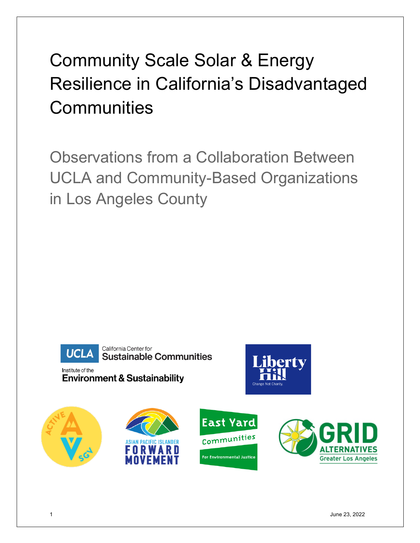# Community Scale Solar & Energy Resilience in California's Disadvantaged **Communities**

Observations from a Collaboration Between UCLA and Community-Based Organizations in Los Angeles County



California Center for **Sustainable Communities** 

Institute of the **Environment & Sustainability** 



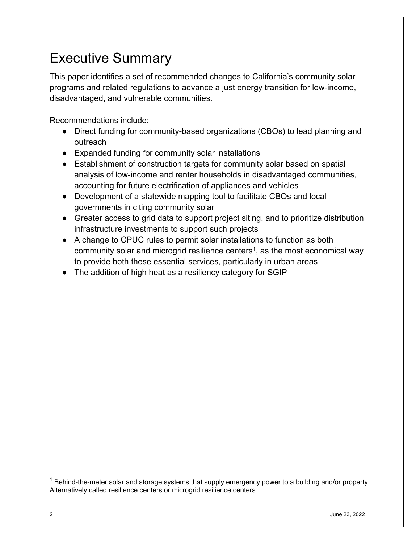# Executive Summary

This paper identifies a set of recommended changes to California's community solar programs and related regulations to advance a just energy transition for low-income, disadvantaged, and vulnerable communities.

Recommendations include:

- Direct funding for community-based organizations (CBOs) to lead planning and outreach
- Expanded funding for community solar installations
- Establishment of construction targets for community solar based on spatial analysis of low-income and renter households in disadvantaged communities, accounting for future electrification of appliances and vehicles
- Development of a statewide mapping tool to facilitate CBOs and local governments in citing community solar
- Greater access to grid data to support project siting, and to prioritize distribution infrastructure investments to support such projects
- A change to CPUC rules to permit solar installations to function as both community solar and microgrid resilience centers<sup>1</sup>, as the most economical way to provide both these essential services, particularly in urban areas
- The addition of high heat as a resiliency category for SGIP

 $1$  Behind-the-meter solar and storage systems that supply emergency power to a building and/or property. Alternatively called resilience centers or microgrid resilience centers.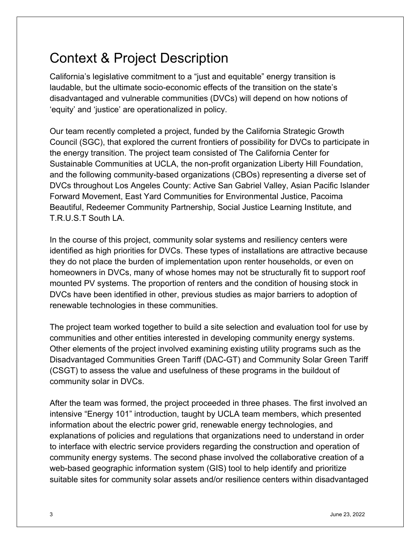# Context & Project Description

California's legislative commitment to a "just and equitable" energy transition is laudable, but the ultimate socio-economic effects of the transition on the state's disadvantaged and vulnerable communities (DVCs) will depend on how notions of 'equity' and 'justice' are operationalized in policy.

Our team recently completed a project, funded by the California Strategic Growth Council (SGC), that explored the current frontiers of possibility for DVCs to participate in the energy transition. The project team consisted of The California Center for Sustainable Communities at UCLA, the non-profit organization Liberty Hill Foundation, and the following community-based organizations (CBOs) representing a diverse set of DVCs throughout Los Angeles County: Active San Gabriel Valley, Asian Pacific Islander Forward Movement, East Yard Communities for Environmental Justice, Pacoima Beautiful, Redeemer Community Partnership, Social Justice Learning Institute, and T.R.U.S.T South LA.

In the course of this project, community solar systems and resiliency centers were identified as high priorities for DVCs. These types of installations are attractive because they do not place the burden of implementation upon renter households, or even on homeowners in DVCs, many of whose homes may not be structurally fit to support roof mounted PV systems. The proportion of renters and the condition of housing stock in DVCs have been identified in other, previous studies as major barriers to adoption of renewable technologies in these communities.

The project team worked together to build a site selection and evaluation tool for use by communities and other entities interested in developing community energy systems. Other elements of the project involved examining existing utility programs such as the Disadvantaged Communities Green Tariff (DAC-GT) and Community Solar Green Tariff (CSGT) to assess the value and usefulness of these programs in the buildout of community solar in DVCs.

After the team was formed, the project proceeded in three phases. The first involved an intensive "Energy 101" introduction, taught by UCLA team members, which presented information about the electric power grid, renewable energy technologies, and explanations of policies and regulations that organizations need to understand in order to interface with electric service providers regarding the construction and operation of community energy systems. The second phase involved the collaborative creation of a web-based geographic information system (GIS) tool to help identify and prioritize suitable sites for community solar assets and/or resilience centers within disadvantaged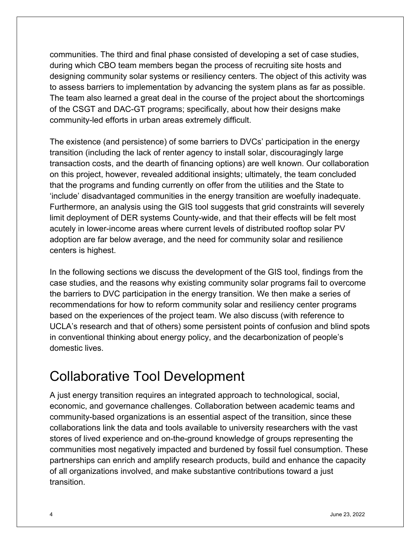communities. The third and final phase consisted of developing a set of case studies, during which CBO team members began the process of recruiting site hosts and designing community solar systems or resiliency centers. The object of this activity was to assess barriers to implementation by advancing the system plans as far as possible. The team also learned a great deal in the course of the project about the shortcomings of the CSGT and DAC-GT programs; specifically, about how their designs make community-led efforts in urban areas extremely difficult.

The existence (and persistence) of some barriers to DVCs' participation in the energy transition (including the lack of renter agency to install solar, discouragingly large transaction costs, and the dearth of financing options) are well known. Our collaboration on this project, however, revealed additional insights; ultimately, the team concluded that the programs and funding currently on offer from the utilities and the State to 'include' disadvantaged communities in the energy transition are woefully inadequate. Furthermore, an analysis using the GIS tool suggests that grid constraints will severely limit deployment of DER systems County-wide, and that their effects will be felt most acutely in lower-income areas where current levels of distributed rooftop solar PV adoption are far below average, and the need for community solar and resilience centers is highest.

In the following sections we discuss the development of the GIS tool, findings from the case studies, and the reasons why existing community solar programs fail to overcome the barriers to DVC participation in the energy transition. We then make a series of recommendations for how to reform community solar and resiliency center programs based on the experiences of the project team. We also discuss (with reference to UCLA's research and that of others) some persistent points of confusion and blind spots in conventional thinking about energy policy, and the decarbonization of people's domestic lives.

# Collaborative Tool Development

A just energy transition requires an integrated approach to technological, social, economic, and governance challenges. Collaboration between academic teams and community-based organizations is an essential aspect of the transition, since these collaborations link the data and tools available to university researchers with the vast stores of lived experience and on-the-ground knowledge of groups representing the communities most negatively impacted and burdened by fossil fuel consumption. These partnerships can enrich and amplify research products, build and enhance the capacity of all organizations involved, and make substantive contributions toward a just transition.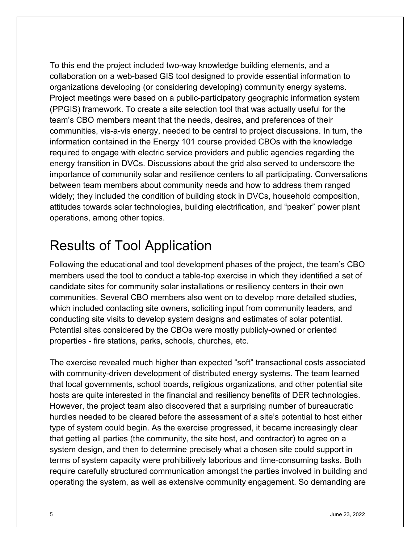To this end the project included two-way knowledge building elements, and a collaboration on a web-based GIS tool designed to provide essential information to organizations developing (or considering developing) community energy systems. Project meetings were based on a public-participatory geographic information system (PPGIS) framework. To create a site selection tool that was actually useful for the team's CBO members meant that the needs, desires, and preferences of their communities, vis-a-vis energy, needed to be central to project discussions. In turn, the information contained in the Energy 101 course provided CBOs with the knowledge required to engage with electric service providers and public agencies regarding the energy transition in DVCs. Discussions about the grid also served to underscore the importance of community solar and resilience centers to all participating. Conversations between team members about community needs and how to address them ranged widely; they included the condition of building stock in DVCs, household composition, attitudes towards solar technologies, building electrification, and "peaker" power plant operations, among other topics.

### Results of Tool Application

Following the educational and tool development phases of the project, the team's CBO members used the tool to conduct a table-top exercise in which they identified a set of candidate sites for community solar installations or resiliency centers in their own communities. Several CBO members also went on to develop more detailed studies, which included contacting site owners, soliciting input from community leaders, and conducting site visits to develop system designs and estimates of solar potential. Potential sites considered by the CBOs were mostly publicly-owned or oriented properties - fire stations, parks, schools, churches, etc.

The exercise revealed much higher than expected "soft" transactional costs associated with community-driven development of distributed energy systems. The team learned that local governments, school boards, religious organizations, and other potential site hosts are quite interested in the financial and resiliency benefits of DER technologies. However, the project team also discovered that a surprising number of bureaucratic hurdles needed to be cleared before the assessment of a site's potential to host either type of system could begin. As the exercise progressed, it became increasingly clear that getting all parties (the community, the site host, and contractor) to agree on a system design, and then to determine precisely what a chosen site could support in terms of system capacity were prohibitively laborious and time-consuming tasks. Both require carefully structured communication amongst the parties involved in building and operating the system, as well as extensive community engagement. So demanding are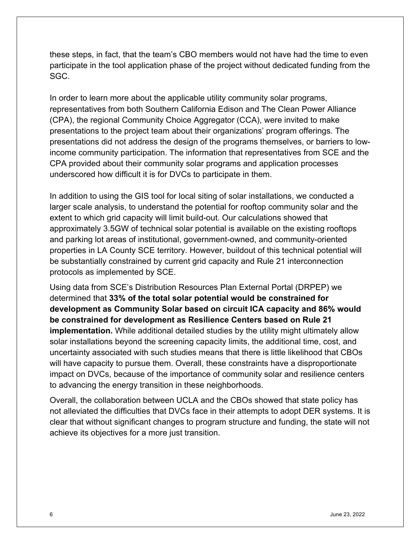these steps, in fact, that the team's CBO members would not have had the time to even participate in the tool application phase of the project without dedicated funding from the SGC.

In order to learn more about the applicable utility community solar programs, representatives from both Southern California Edison and The Clean Power Alliance (CPA), the regional Community Choice Aggregator (CCA), were invited to make presentations to the project team about their organizations' program offerings. The presentations did not address the design of the programs themselves, or barriers to lowincome community participation. The information that representatives from SCE and the CPA provided about their community solar programs and application processes underscored how difficult it is for DVCs to participate in them.

In addition to using the GIS tool for local siting of solar installations, we conducted a larger scale analysis, to understand the potential for rooftop community solar and the extent to which grid capacity will limit build-out. Our calculations showed that approximately 3.5GW of technical solar potential is available on the existing rooftops and parking lot areas of institutional, government-owned, and community-oriented properties in LA County SCE territory. However, buildout of this technical potential will be substantially constrained by current grid capacity and Rule 21 interconnection protocols as implemented by SCE.

Using data from SCE's Distribution Resources Plan External Portal (DRPEP) we determined that **33% of the total solar potential would be constrained for development as Community Solar based on circuit ICA capacity and 86% would be constrained for development as Resilience Centers based on Rule 21 implementation.** While additional detailed studies by the utility might ultimately allow solar installations beyond the screening capacity limits, the additional time, cost, and uncertainty associated with such studies means that there is little likelihood that CBOs will have capacity to pursue them. Overall, these constraints have a disproportionate impact on DVCs, because of the importance of community solar and resilience centers to advancing the energy transition in these neighborhoods.

Overall, the collaboration between UCLA and the CBOs showed that state policy has not alleviated the difficulties that DVCs face in their attempts to adopt DER systems. It is clear that without significant changes to program structure and funding, the state will not achieve its objectives for a more just transition.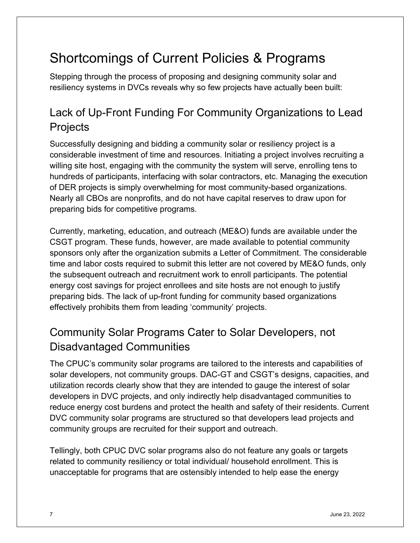# Shortcomings of Current Policies & Programs

Stepping through the process of proposing and designing community solar and resiliency systems in DVCs reveals why so few projects have actually been built:

#### Lack of Up-Front Funding For Community Organizations to Lead **Projects**

Successfully designing and bidding a community solar or resiliency project is a considerable investment of time and resources. Initiating a project involves recruiting a willing site host, engaging with the community the system will serve, enrolling tens to hundreds of participants, interfacing with solar contractors, etc. Managing the execution of DER projects is simply overwhelming for most community-based organizations. Nearly all CBOs are nonprofits, and do not have capital reserves to draw upon for preparing bids for competitive programs.

Currently, marketing, education, and outreach (ME&O) funds are available under the CSGT program. These funds, however, are made available to potential community sponsors only after the organization submits a Letter of Commitment. The considerable time and labor costs required to submit this letter are not covered by ME&O funds, only the subsequent outreach and recruitment work to enroll participants. The potential energy cost savings for project enrollees and site hosts are not enough to justify preparing bids. The lack of up-front funding for community based organizations effectively prohibits them from leading 'community' projects.

#### Community Solar Programs Cater to Solar Developers, not Disadvantaged Communities

The CPUC's community solar programs are tailored to the interests and capabilities of solar developers, not community groups. DAC-GT and CSGT's designs, capacities, and utilization records clearly show that they are intended to gauge the interest of solar developers in DVC projects, and only indirectly help disadvantaged communities to reduce energy cost burdens and protect the health and safety of their residents. Current DVC community solar programs are structured so that developers lead projects and community groups are recruited for their support and outreach.

Tellingly, both CPUC DVC solar programs also do not feature any goals or targets related to community resiliency or total individual/ household enrollment. This is unacceptable for programs that are ostensibly intended to help ease the energy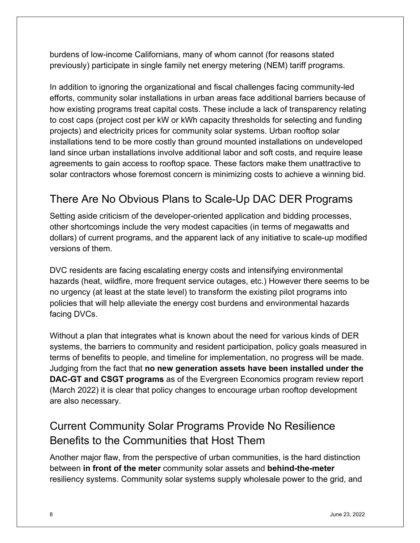burdens of low-income Californians, many of whom cannot (for reasons stated previously) participate in single family net energy metering (NEM) tariff programs.

In addition to ignoring the organizational and fiscal challenges facing community-led efforts, community solar installations in urban areas face additional barriers because of how existing programs treat capital costs. These include a lack of transparency relating to cost caps (project cost per kW or kWh capacity thresholds for selecting and funding projects) and electricity prices for community solar systems. Urban rooftop solar installations tend to be more costly than ground mounted installations on undeveloped land since urban installations involve additional labor and soft costs, and require lease agreements to gain access to rooftop space. These factors make them unattractive to solar contractors whose foremost concern is minimizing costs to achieve a winning bid.

#### There Are No Obvious Plans to Scale-Up DAC DER Programs

Setting aside criticism of the developer-oriented application and bidding processes, other shortcomings include the very modest capacities (in terms of megawatts and dollars) of current programs, and the apparent lack of any initiative to scale-up modified versions of them.

DVC residents are facing escalating energy costs and intensifying environmental hazards (heat, wildfire, more frequent service outages, etc.) However there seems to be no urgency (at least at the state level) to transform the existing pilot programs into policies that will help alleviate the energy cost burdens and environmental hazards facing DVCs.

Without a plan that integrates what is known about the need for various kinds of DER systems, the barriers to community and resident participation, policy goals measured in terms of benefits to people, and timeline for implementation, no progress will be made. Judging from the fact that **no new generation assets have been installed under the DAC-GT and CSGT programs** as of the Evergreen Economics program review report (March 2022) it is clear that policy changes to encourage urban rooftop development are also necessary.

#### Current Community Solar Programs Provide No Resilience Benefits to the Communities that Host Them

Another major flaw, from the perspective of urban communities, is the hard distinction between **in front of the meter** community solar assets and **behind-the-meter** resiliency systems. Community solar systems supply wholesale power to the grid, and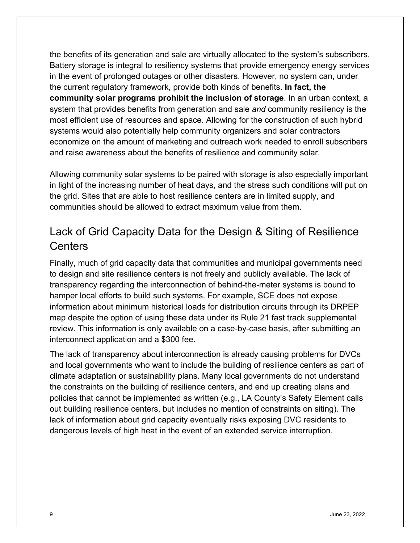the benefits of its generation and sale are virtually allocated to the system's subscribers. Battery storage is integral to resiliency systems that provide emergency energy services in the event of prolonged outages or other disasters. However, no system can, under the current regulatory framework, provide both kinds of benefits. **In fact, the community solar programs prohibit the inclusion of storage**. In an urban context, a system that provides benefits from generation and sale *and* community resiliency is the most efficient use of resources and space. Allowing for the construction of such hybrid systems would also potentially help community organizers and solar contractors economize on the amount of marketing and outreach work needed to enroll subscribers and raise awareness about the benefits of resilience and community solar.

Allowing community solar systems to be paired with storage is also especially important in light of the increasing number of heat days, and the stress such conditions will put on the grid. Sites that are able to host resilience centers are in limited supply, and communities should be allowed to extract maximum value from them.

#### Lack of Grid Capacity Data for the Design & Siting of Resilience **Centers**

Finally, much of grid capacity data that communities and municipal governments need to design and site resilience centers is not freely and publicly available. The lack of transparency regarding the interconnection of behind-the-meter systems is bound to hamper local efforts to build such systems. For example, SCE does not expose information about minimum historical loads for distribution circuits through its DRPEP map despite the option of using these data under its Rule 21 fast track supplemental review. This information is only available on a case-by-case basis, after submitting an interconnect application and a \$300 fee.

The lack of transparency about interconnection is already causing problems for DVCs and local governments who want to include the building of resilience centers as part of climate adaptation or sustainability plans. Many local governments do not understand the constraints on the building of resilience centers, and end up creating plans and policies that cannot be implemented as written (e.g., LA County's Safety Element calls out building resilience centers, but includes no mention of constraints on siting). The lack of information about grid capacity eventually risks exposing DVC residents to dangerous levels of high heat in the event of an extended service interruption.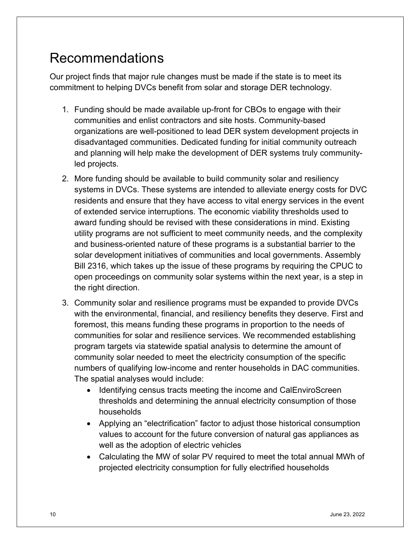# Recommendations

Our project finds that major rule changes must be made if the state is to meet its commitment to helping DVCs benefit from solar and storage DER technology.

- 1. Funding should be made available up-front for CBOs to engage with their communities and enlist contractors and site hosts. Community-based organizations are well-positioned to lead DER system development projects in disadvantaged communities. Dedicated funding for initial community outreach and planning will help make the development of DER systems truly communityled projects.
- 2. More funding should be available to build community solar and resiliency systems in DVCs. These systems are intended to alleviate energy costs for DVC residents and ensure that they have access to vital energy services in the event of extended service interruptions. The economic viability thresholds used to award funding should be revised with these considerations in mind. Existing utility programs are not sufficient to meet community needs, and the complexity and business-oriented nature of these programs is a substantial barrier to the solar development initiatives of communities and local governments. Assembly Bill 2316, which takes up the issue of these programs by requiring the CPUC to open proceedings on community solar systems within the next year, is a step in the right direction.
- 3. Community solar and resilience programs must be expanded to provide DVCs with the environmental, financial, and resiliency benefits they deserve. First and foremost, this means funding these programs in proportion to the needs of communities for solar and resilience services. We recommended establishing program targets via statewide spatial analysis to determine the amount of community solar needed to meet the electricity consumption of the specific numbers of qualifying low-income and renter households in DAC communities. The spatial analyses would include:
	- Identifying census tracts meeting the income and CalEnviroScreen thresholds and determining the annual electricity consumption of those households
	- Applying an "electrification" factor to adjust those historical consumption values to account for the future conversion of natural gas appliances as well as the adoption of electric vehicles
	- Calculating the MW of solar PV required to meet the total annual MWh of projected electricity consumption for fully electrified households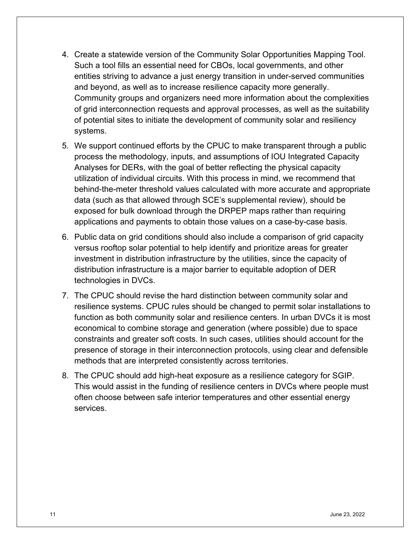- 4. Create a statewide version of the Community Solar Opportunities Mapping Tool. Such a tool fills an essential need for CBOs, local governments, and other entities striving to advance a just energy transition in under-served communities and beyond, as well as to increase resilience capacity more generally. Community groups and organizers need more information about the complexities of grid interconnection requests and approval processes, as well as the suitability of potential sites to initiate the development of community solar and resiliency systems.
- 5. We support continued efforts by the CPUC to make transparent through a public process the methodology, inputs, and assumptions of IOU Integrated Capacity Analyses for DERs, with the goal of better reflecting the physical capacity utilization of individual circuits. With this process in mind, we recommend that behind-the-meter threshold values calculated with more accurate and appropriate data (such as that allowed through SCE's supplemental review), should be exposed for bulk download through the DRPEP maps rather than requiring applications and payments to obtain those values on a case-by-case basis.
- 6. Public data on grid conditions should also include a comparison of grid capacity versus rooftop solar potential to help identify and prioritize areas for greater investment in distribution infrastructure by the utilities, since the capacity of distribution infrastructure is a major barrier to equitable adoption of DER technologies in DVCs.
- 7. The CPUC should revise the hard distinction between community solar and resilience systems. CPUC rules should be changed to permit solar installations to function as both community solar and resilience centers. In urban DVCs it is most economical to combine storage and generation (where possible) due to space constraints and greater soft costs. In such cases, utilities should account for the presence of storage in their interconnection protocols, using clear and defensible methods that are interpreted consistently across territories.
- 8. The CPUC should add high-heat exposure as a resilience category for SGIP. This would assist in the funding of resilience centers in DVCs where people must often choose between safe interior temperatures and other essential energy services.